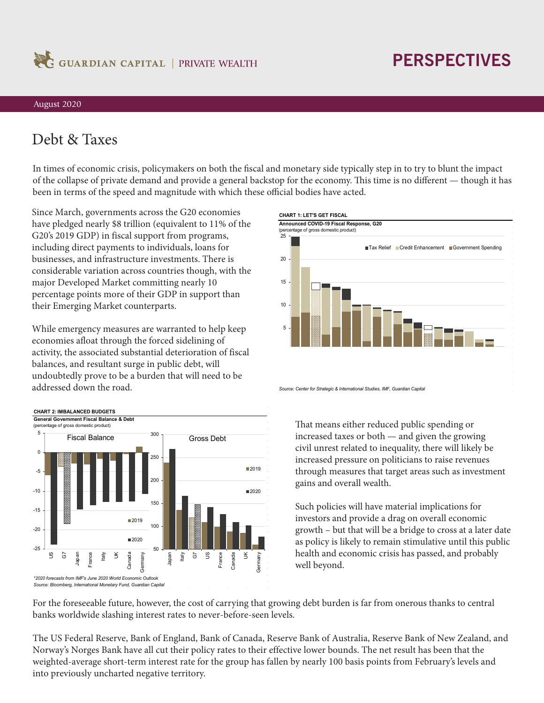

## **PERSPECTIVES**

## August 2020

## Debt & Taxes

In times of economic crisis, policymakers on both the fiscal and monetary side typically step in to try to blunt the impact of the collapse of private demand and provide a general backstop for the economy. This time is no different — though it has been in terms of the speed and magnitude with which these official bodies have acted.

Since March, governments across the G20 economies have pledged nearly \$8 trillion (equivalent to 11% of the G20's 2019 GDP) in fiscal support from programs, including direct payments to individuals, loans for businesses, and infrastructure investments. There is considerable variation across countries though, with the major Developed Market committing nearly 10 percentage points more of their GDP in support than their Emerging Market counterparts.

While emergency measures are warranted to help keep economies afloat through the forced sidelining of activity, the associated substantial deterioration of fiscal balances, and resultant surge in public debt, will undoubtedly prove to be a burden that will need to be addressed down the road.





*Source: Center for Strategic & International Studies, IMF, Guardian Capital*

That means either reduced public spending or increased taxes or both — and given the growing civil unrest related to inequality, there will likely be increased pressure on politicians to raise revenues through measures that target areas such as investment gains and overall wealth.

Such policies will have material implications for investors and provide a drag on overall economic growth – but that will be a bridge to cross at a later date as policy is likely to remain stimulative until this public health and economic crisis has passed, and probably well beyond.

For the foreseeable future, however, the cost of carrying that growing debt burden is far from onerous thanks to central banks worldwide slashing interest rates to never-before-seen levels.

The US Federal Reserve, Bank of England, Bank of Canada, Reserve Bank of Australia, Reserve Bank of New Zealand, and Norway's Norges Bank have all cut their policy rates to their effective lower bounds. The net result has been that the weighted-average short-term interest rate for the group has fallen by nearly 100 basis points from February's levels and into previously uncharted negative territory.